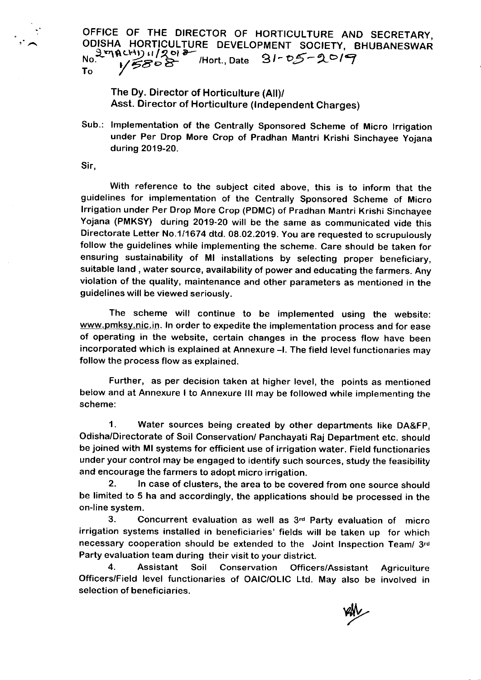OFFICE OF THE DIRECTOR OF HORTICULTURE AND SECRETARY, ODISHA HORTICULTURE DEVELOPMENT SOCIETY, BHUBANESWAR .,-aqgLHt) .t l2q e-- l.- ''V48;i- /Hort., Date 2l-oii-Lola To

The Dy. Director of Horticulture (All)/ Asst. Director of Horticulture (lndependent Charges)

Sub.: lmplementation of the Centrally Sponsored Scheme of Micro lrrigation under Per Drop More Crop of Pradhan Mantri Krishi Sinchayee yojana during 2019-20.

Sir.

With reference to the subject cited above, this is to inform that the guidelines for implementation of the Centrally Sponsored Scheme of Micro lrrigation under Per Drop More Crop (PDMC) of pradhan Mantri Krishi Sinchayee Yojana (PMKSY) during 2019-20 will be the same as communicated vide this Directorate Letter No.1/1674 dtd. 08.O2.2019. You are requested to scrupulously follow the guidelines while implementing the scheme. Care should be taken for ensuring sustainability of Ml installations by selecting proper beneficiary, suitable land , water source, availability of power and educating the farmers. Any violation of the quality, maintenance and other parameters as mentioned in the guidelines will be viewed seriously.

The scheme will continue to be implemented using the website: www.pmksy.nic.in. In order to expedite the implementation process and for ease of operating in the website, certain changes in the process flow have been incorporated which is explained at Annexure -I. The field level functionaries may follow the process flow as explained.

Further, as per decision taken at higher level, the points as mentioned below and at Annexure I to Annexure III may be followed while implementing the scheme:

1. Water sources being created by other departments like DA&Fp, Odisha/Directorate of Soil Conservation/ Panchayati Raj Department etc. should be joined with Ml systems for efficient use of irrigation water. Field functionaries under your control may be engaged to identify such sources, study the feasibility and encourage the farmers to adopt micro irrigation.

2. In case of clusters, the area to be covered from one source should be limited to 5 ha and accordingly, the applications should be processed in the on-line system.

3. Concurrent evaluation as well as  $3<sup>rd</sup>$  Party evaluation of micro irrigation systems installed in beneficiaries' fields will be taken up for which necessary cooperation should be extended to the Joint Inspection Team/ 3rd Party evaluation team during their visit to your district.

4. Assistant Soil Conservation Officers/Assistant Agriculture Officers/Field level functionaries of OAIC/OLIC Ltd. May also be involved in selection of beneficiaries.

**vsly**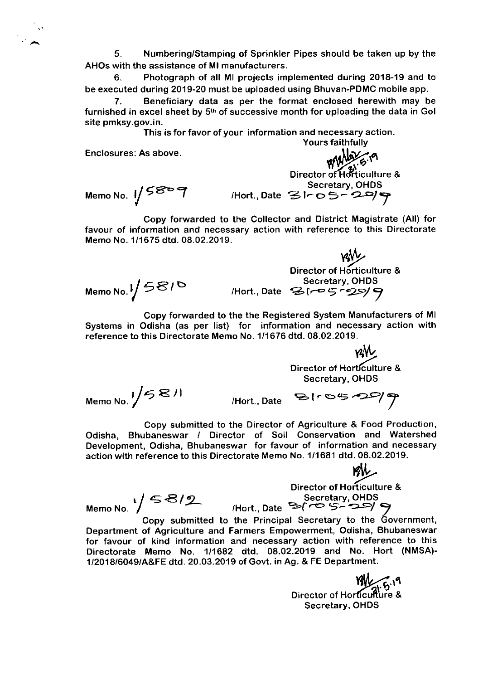5. Numbering/Stamping of Sprinkler Pipes should be taken up by the AHOS with the assistance of Ml manufacturers.

6. Photograph of all Ml projects implemented during 2018-19 and to be executed during 2019-20 must be uploaded using Bhuvan-PDMC mobile app.

Beneficiary data as per the format enclosed herewith may be furnished in excel sheet by  $5<sup>th</sup>$  of successive month for uploading the data in Gol site pmksy.gov.in.

> This is for favor of your information and necessary action. Yours faithfully

Enclosures: As above.

Taithfuily Director of'HdFticulture & Secretary, OHDS

Memo No.  $1/5807$  Hort., Date  $3100500$ 

Copy forwarded to the Collector and District Magistrate (All) for favour of information and necessary action with reference to this Directorate Memo No. 1/1675 dtd.08.02.2019.

Memo No.  $1/58/6$ کیا<br>Director of Horticulture & Secretary, OHDS  $/$ Hort., Date  $?F^{\sim}$ 5 -29/

Copy forwarded to the the Registered System Manufacturers of Ml Systems in Odisha (as per list) for information and necessary action with reference to this Directorate Memo No. 1/1676 dtd. 08.02.2019.

> i.  $\mathbf{I}^{\mathbf{y}}$ Director of Horticulture & Secretary, OHDS

Memo No.  $1/5$   $81$ 

 $/$ Hort., Date  $B$ ( $-$ 05 $-2$ )

Copy submitted to the Director of Agriculture & Food Production, Odisha. Bhubaneswar / Oirector of Soil Conservation and Watershed Development, Odisha, Bhubaneswar for favour of information and necessary action with reference to this Directorate Memo No. 1/1681 dtd. 08.02.2019.

vAI. Director of Horticulture &  $r \leq 8/9$ <br>Memo No.  $\sqrt{58/9}$  (Hort., Date  $\geq$  ( $\infty$  5-29  $\leq$ 

Copy submitted to the Principal Secretary to the Government, Department of Agriculture and Farmers Empowerment, Odisha, Bhubaneswar for favour of kind information and necessary action with reference to this Directorate Memo No. 1/1682 dtd. 08.02.2019 and No. Hort (NMSA)- 1/2018/6049/A&FE dtd.20.03.2019 ofGovt. in Ag. & FE Department.

8 Director of Horticulture<br>Secretary, OHDS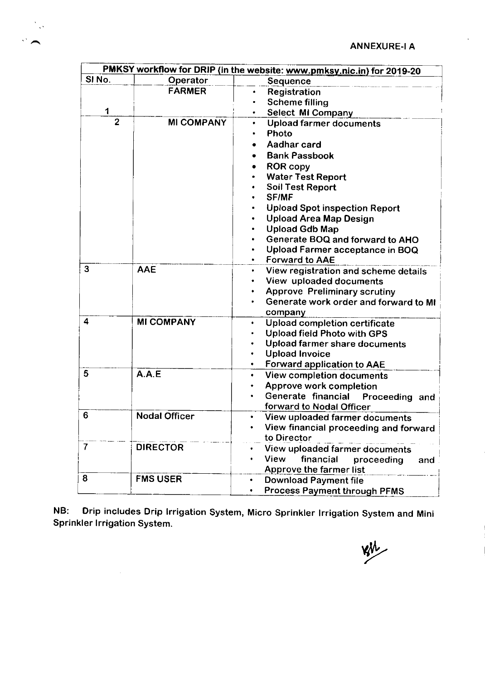

| PMKSY workflow for DRIP (in the website: www.pmksy.nic.in) for 2019-20 |                      |                                                         |  |
|------------------------------------------------------------------------|----------------------|---------------------------------------------------------|--|
| SINo.                                                                  | Operator             | Sequence                                                |  |
|                                                                        | <b>FARMER</b>        | Registration<br>٠                                       |  |
|                                                                        |                      | <b>Scheme filling</b><br>٠                              |  |
| 1                                                                      |                      | Select MI Company                                       |  |
| $\overline{2}$                                                         | <b>MI COMPANY</b>    | <b>Upload farmer documents</b><br>٠                     |  |
|                                                                        |                      | Photo<br>٠                                              |  |
|                                                                        |                      | Aadhar card                                             |  |
|                                                                        |                      | <b>Bank Passbook</b>                                    |  |
|                                                                        |                      | <b>ROR copy</b>                                         |  |
|                                                                        |                      | <b>Water Test Report</b>                                |  |
|                                                                        |                      | <b>Soil Test Report</b>                                 |  |
|                                                                        |                      | <b>SF/MF</b>                                            |  |
|                                                                        |                      | <b>Upload Spot inspection Report</b>                    |  |
|                                                                        |                      | <b>Upload Area Map Design</b>                           |  |
|                                                                        |                      | <b>Upload Gdb Map</b>                                   |  |
|                                                                        |                      | Generate BOQ and forward to AHO                         |  |
|                                                                        |                      | Upload Farmer acceptance in BOQ                         |  |
| 3                                                                      |                      | <b>Forward to AAE</b>                                   |  |
|                                                                        | AAE                  | View registration and scheme details<br>٠               |  |
|                                                                        |                      | View uploaded documents<br>٠                            |  |
|                                                                        |                      | <b>Approve Preliminary scrutiny</b>                     |  |
|                                                                        |                      | Generate work order and forward to MI<br>company        |  |
| 4                                                                      | <b>MI COMPANY</b>    | Upload completion certificate                           |  |
|                                                                        |                      | <b>Upload field Photo with GPS</b>                      |  |
|                                                                        |                      | Upload farmer share documents                           |  |
|                                                                        |                      | <b>Upload Invoice</b>                                   |  |
|                                                                        |                      | <b>Forward application to AAE</b>                       |  |
| 5                                                                      | A.A.E                | View completion documents<br>٠                          |  |
|                                                                        |                      | Approve work completion<br>٠                            |  |
|                                                                        |                      | Generate financial<br>Proceeding and                    |  |
| 6                                                                      |                      | forward to Nodal Officer                                |  |
|                                                                        | <b>Nodal Officer</b> | View uploaded farmer documents<br>٠                     |  |
|                                                                        |                      | View financial proceeding and forward                   |  |
| 7                                                                      | <b>DIRECTOR</b>      | to Director                                             |  |
|                                                                        |                      | View uploaded farmer documents                          |  |
|                                                                        |                      | financial<br><b>View</b><br>proceeding<br>and           |  |
| 8                                                                      | <b>FMS USER</b>      | Approve the farmer list<br><b>Download Payment file</b> |  |
|                                                                        |                      |                                                         |  |
|                                                                        |                      | <b>Process Payment through PFMS</b>                     |  |

NB: Drip includes Drip lrrigation system, Micro sprinkler lrrigation system and Mini Sprinkler lrrigation System.

 $\frac{1}{2}$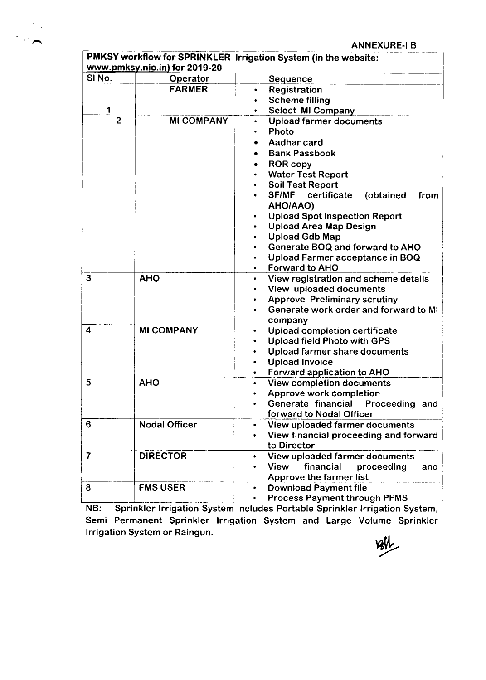ANNEXURE.I B

|                | www.pmksy.nic.in) for 2019-20 | PMKSY workflow for SPRINKLER Irrigation System (in the website:            |  |  |
|----------------|-------------------------------|----------------------------------------------------------------------------|--|--|
| SINO.          | Operator                      | Sequence                                                                   |  |  |
|                | <b>FARMER</b>                 | Registration<br>٠                                                          |  |  |
|                |                               | <b>Scheme filling</b><br>٠                                                 |  |  |
| 1              |                               | Select MI Company<br>$\bullet$                                             |  |  |
| $\overline{2}$ | <b>MI COMPANY</b>             | <b>Upload farmer documents</b><br>$\bullet$                                |  |  |
|                |                               | Photo                                                                      |  |  |
|                |                               | Aadhar card                                                                |  |  |
|                |                               | <b>Bank Passbook</b>                                                       |  |  |
|                |                               | <b>ROR copy</b><br>٠                                                       |  |  |
|                |                               | <b>Water Test Report</b>                                                   |  |  |
|                |                               | <b>Soil Test Report</b>                                                    |  |  |
|                |                               | SF/MF<br>certificate<br>(obtained<br>from                                  |  |  |
|                |                               | AHO/AAO)                                                                   |  |  |
|                |                               | <b>Upload Spot inspection Report</b>                                       |  |  |
|                |                               | <b>Upload Area Map Design</b>                                              |  |  |
|                |                               | <b>Upload Gdb Map</b>                                                      |  |  |
|                |                               | Generate BOQ and forward to AHO                                            |  |  |
|                |                               | Upload Farmer acceptance in BOQ                                            |  |  |
|                |                               | <b>Forward to AHO</b>                                                      |  |  |
| 3              | <b>AHO</b>                    | View registration and scheme details                                       |  |  |
|                |                               | View uploaded documents                                                    |  |  |
|                |                               | <b>Approve Preliminary scrutiny</b>                                        |  |  |
|                |                               | Generate work order and forward to MI                                      |  |  |
|                |                               | company                                                                    |  |  |
| 4              | <b>MI COMPANY</b>             | Upload completion certificate<br>$\bullet$                                 |  |  |
|                |                               | <b>Upload field Photo with GPS</b>                                         |  |  |
|                |                               | Upload farmer share documents<br>٠                                         |  |  |
|                |                               | <b>Upload Invoice</b>                                                      |  |  |
| 5              | <b>AHO</b>                    | Forward application to AHO<br>View completion documents<br>$\bullet$       |  |  |
|                |                               | Approve work completion                                                    |  |  |
|                |                               | Generate financial Proceeding and                                          |  |  |
|                |                               | forward to Nodal Officer                                                   |  |  |
| 6              | <b>Nodal Officer</b>          | View uploaded farmer documents                                             |  |  |
|                |                               | View financial proceeding and forward                                      |  |  |
|                |                               | to Director                                                                |  |  |
| 7              | <b>DIRECTOR</b>               | View uploaded farmer documents                                             |  |  |
|                |                               | financial<br><b>View</b><br>proceeding<br>and                              |  |  |
|                |                               | Approve the farmer list                                                    |  |  |
| 8              | <b>FMS USER</b>               | <b>Download Payment file</b>                                               |  |  |
|                |                               | <b>Process Payment through PFMS</b>                                        |  |  |
| NB:            |                               | Sprinkler Irrigation System includes Portable Sprinkler Irrigation System, |  |  |

 $\sum_{i=1}^n \frac{1}{2}$ 

Semi Permanent Sprinkler Irrigation System and Large Volume Sprinkler<br>Irrigation System or Raingun.<br>
Villette System or Raingun.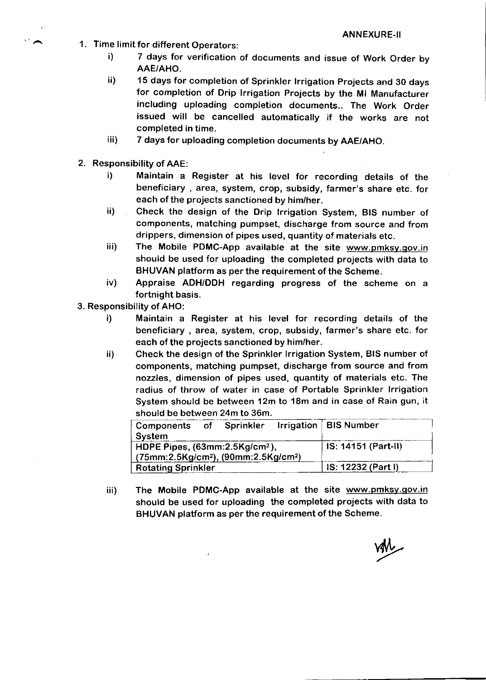- <sup>1</sup>. Time limit for different Operators:
	- i) <sup>7</sup>days for verification of documents and issue of Work Order by AAE/AHO,
	- ii) 15 days for completion of Sprinkler Irrigation Projects and 30 days for completion of Drip lrrigation projects by the Ml Manufacturer including uploading completion documents.. The Work Order issued will be cancelled automatically if the works are not completed in time.
	- iii) 7 days for uploading completion documents by AAE/AHO.
- 2. Responsibility of AAE:

 $\ddot{\phantom{0}}$ 

- i) Maintain a Register at his level for recording details of the beneficiary, area, system, crop, subsidy, farmer's share etc. for each of the projects sanctioned by him/her.
- ii) Check the design of the Drip lrrigation System, BIS number of components, matching pumpset, discharge from source and from
- drippers, dimension of pipes used, quantity of materials etc.<br>iii) The Mobile PDMC-App available at the site www.pmksy.gov.in should be used for uploading the completed projects with data to BHUVAN platform as per the requirement of the Scheme.
- iv) Appraise ADH/DDH regarding progress of the scheme on <sup>a</sup> fortnight basis.
- 3. Responsibility of AHO:
	- i) Maintain a Register at his level for recording details of the beneficiary, area, system, crop, subsidy, farmer's share etc. for each of the projects sanctioned by him/her.
	- ii) Check the design of the Sprinkler lrrigation System, BIS number of components, matching pumpset, discharge from source and from nozzles, dimension of pipes used, quantity of materials etc. The radius of throw of water in case of Portable Sprinkler lrrigation System should be between 12m to 18m and in case of Rain gun, it should be between 24m to 36m.

| Components of Sprinkler<br>System                                                                                 |  | Irrigation $\vert$ BIS Number |
|-------------------------------------------------------------------------------------------------------------------|--|-------------------------------|
| HDPE Pipes, $(63$ mm: $2.5$ Kg/cm <sup>2</sup> ),<br>(75mm:2.5Kg/cm <sup>2</sup> ), (90mm:2.5Kg/cm <sup>2</sup> ) |  | $IS: 14151 (Part-H)$          |
| <b>Rotating Sprinkler</b>                                                                                         |  | IS: 12232 (Part I)            |

The Mobile PDMC-App available at the site www.pmksy.qov.in should be used for uploading the completed projects with data to BHUVAN platform as per the requirement of the Scheme. iii)

 $\boldsymbol{r}$ 

van<br>van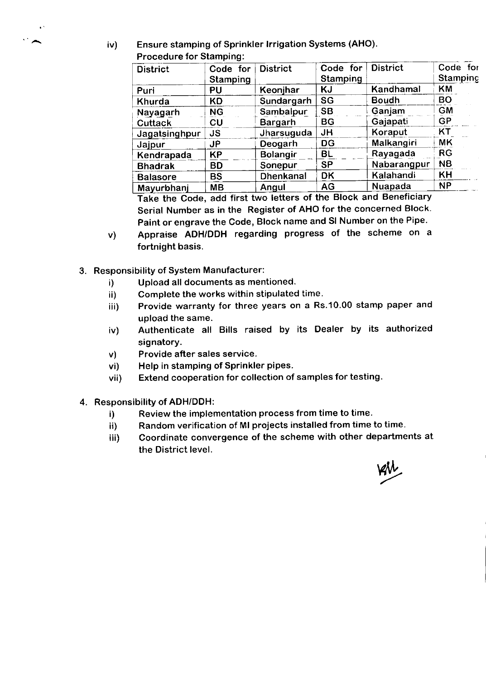<sup>2</sup> (iv) Ensure stamping of Sprinkler Irrigation Systems (AHO). Procedure for Stamping:

| <b>District</b> | Code for<br>Stamping | <b>District</b>  | Code for<br>Stamping | <b>District</b> | Code for<br><b>Stamping</b> |
|-----------------|----------------------|------------------|----------------------|-----------------|-----------------------------|
| Puri            | PU                   | Keonjhar         | KJ                   | Kandhamal       | KM                          |
| Khurda          | <b>KD</b>            | Sundargarh       | SG                   | <b>Boudh</b>    | <b>BO</b>                   |
| Nayagarh        | <b>NG</b>            | Sambalpur        | <b>SB</b>            | Ganjam          | <b>GM</b>                   |
| <b>Cuttack</b>  | CU                   | Bargarh          | BG                   | Gajapati        | <b>GP</b>                   |
| Jagatsinghpur   | <b>JS</b>            | Jharsuguda       | <b>JH</b>            | Koraput         | KT                          |
| Jajpur          | <b>JP</b>            | Deogarh          | <b>DG</b>            | Malkangiri      | <b>MK</b>                   |
| Kendrapada      | <b>KP</b>            | <b>Bolangir</b>  | <b>BL</b>            | Rayagada        | <b>RG</b>                   |
| <b>Bhadrak</b>  | <b>BD</b>            | Sonepur          | <b>SP</b>            | Nabarangpur     | <b>NB</b>                   |
| <b>Balasore</b> | <b>BS</b>            | <b>Dhenkanal</b> | <b>DK</b>            | Kalahandi       | <b>KH</b>                   |
| Mayurbhanj      | <b>MB</b>            | Angul            | AG                   | Nuapada         | <b>NP</b>                   |

Take the Code, add first two letters of the Block and Beneficiary Serial Number as in the Register of AHO for the concerned Block. Paint or engrave the Code, Block name and Sl Number on the Pipe.

- Appraise ADH/DDH regarding progress of the scheme on <sup>a</sup> fortnight basis. v)
- 3. Responsibility of System Manufacturer:
	- i) Upload all documents as mentioned.
	- ii) Complete the works within stipulated time.
	- iii) Provide warranty for three years on a Rs.10.00 stamp paper and upload the same.
	- iv) Authenticate all Bills raised by its Dealer by its authorized signatory.
	- v) Provide after sales service.
	- vi) Help in stamping of Sprinkler pipes.
	- vii) Extend cooperation for collection of samples for testing.
- 4. Responsibility of ADH/DDH:
	- i) Review the implementation process from time to time.
	- ii) Random verification of MI projects installed from time to time.
	- iii) Coordinate convergence of the scheme with other departments at the District level.

w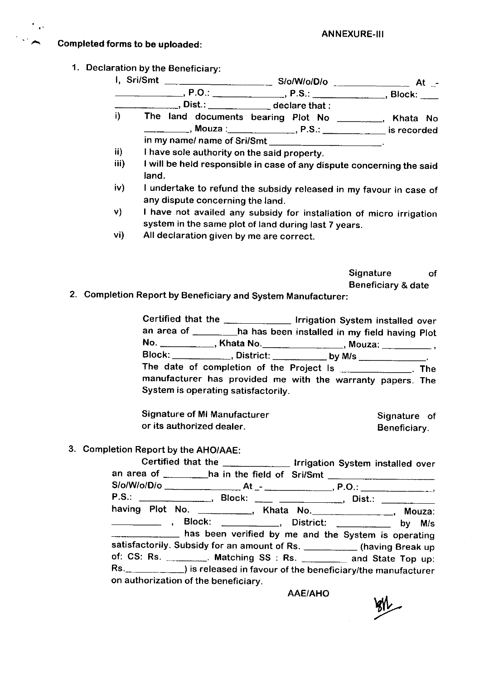## Completed forms to be uploaded:

 $\mathbf{A}^{\prime}$ 

1. Oeclaration by the Beneficiary:

|      | ________________, Dist.: _______________ declare that : |                                                                       |                                                                                                                                                                                                                                                                                                                                                                                                                                 |
|------|---------------------------------------------------------|-----------------------------------------------------------------------|---------------------------------------------------------------------------------------------------------------------------------------------------------------------------------------------------------------------------------------------------------------------------------------------------------------------------------------------------------------------------------------------------------------------------------|
| i)   | The land documents bearing Plot No                      |                                                                       | $\frac{1}{\sqrt{1-\frac{1}{2}}}\frac{1}{\sqrt{1-\frac{1}{2}}}\frac{1}{\sqrt{1-\frac{1}{2}}}\frac{1}{\sqrt{1-\frac{1}{2}}}\frac{1}{\sqrt{1-\frac{1}{2}}}\frac{1}{\sqrt{1-\frac{1}{2}}}\frac{1}{\sqrt{1-\frac{1}{2}}}\frac{1}{\sqrt{1-\frac{1}{2}}}\frac{1}{\sqrt{1-\frac{1}{2}}}\frac{1}{\sqrt{1-\frac{1}{2}}}\frac{1}{\sqrt{1-\frac{1}{2}}}\frac{1}{\sqrt{1-\frac{1}{2}}}\frac{1}{\sqrt{1-\frac{1}{2}}}\frac{1}{\sqrt{1-\frac{$ |
|      |                                                         | __________, Mouza : _____________, P.S.: _________ is recorded        |                                                                                                                                                                                                                                                                                                                                                                                                                                 |
|      |                                                         |                                                                       |                                                                                                                                                                                                                                                                                                                                                                                                                                 |
| ii)  | I have sole authority on the said property.             |                                                                       |                                                                                                                                                                                                                                                                                                                                                                                                                                 |
| iii) |                                                         | I will be held responsible in case of any dispute concerning the sold |                                                                                                                                                                                                                                                                                                                                                                                                                                 |

- iii) <sup>I</sup>will be held responsible in case of any dispute concerning the said land.
- iv) I undertake to refund the subsidy released in my favour in case of any dispute concerning the land.
- v) I have not availed any subsidy for installation of micro irrigation system in the same plot of land during last 7 years.
- vi) All declaration given by me are correct.

Signature of

Beneficiary & date 2. Completion Report by Beneficiary and System Manufacturer:

Certified that the \_\_\_\_\_\_\_\_\_\_\_\_\_\_\_ Irrigation System installed over an area of \_\_\_\_\_\_\_\_ha has been installed in my field having Plot No. \_\_\_\_\_\_\_\_\_\_\_, Khata No.\_\_\_\_\_\_\_\_\_\_\_\_\_\_\_, Mouza: \_\_\_\_\_\_\_\_\_, -.- --ha Block: District: by M/s The date of completion of the Project Is \_\_\_\_\_\_\_\_\_\_\_\_\_. The manufacturer has provided me with the warranty papers. The System is operating satisfactorily.

Signature of Ml Manufacturer or its authorized dealer. Signature of Beneficiary.

3. Completion Report by the AHO/AAE:

Certified that the lrrigation System installed over an area of \_\_\_\_\_\_\_\_\_ha in the field of Sri/Smt S/o/Wo/D/o At P.O.: P.S.: \_\_\_\_\_\_\_\_\_\_\_\_\_\_\_, Block: \_\_\_\_ \_\_\_\_\_\_\_\_\_\_\_\_, Dist.: having Plot No. \_\_\_\_\_\_\_\_\_\_, Khata No.\_\_\_\_\_\_\_\_\_\_\_, Mouza: Block: \_\_\_\_\_\_\_\_\_, District: \_\_\_\_\_\_\_\_\_ by M/s **thas been verified by me and the System is operating** satisfactorily. Subsidy for an amount of Rs. \_\_\_\_\_\_\_\_\_\_\_ (having Break up of: CS: Rs. Matching SS : Rs. \_\_\_\_\_\_\_\_ and State Top up:<br>Rs. \_\_\_\_\_\_\_\_\_\_) is released in favour of the beneficiary/the manufacturer on authorization of the beneficiary.

AAE/AHO

**BIL**